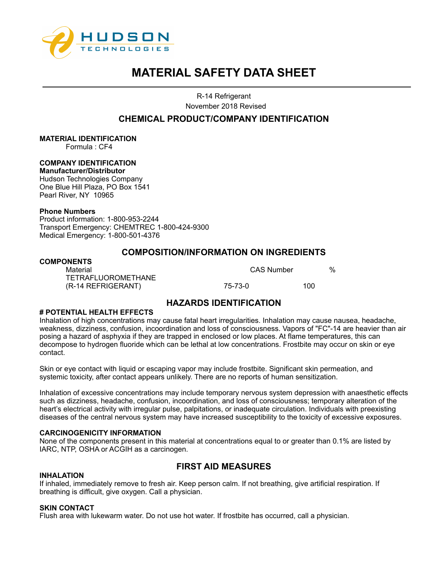

R-14 Refrigerant November 2018 Revised

# **CHEMICAL PRODUCT/COMPANY IDENTIFICATION**

## **MATERIAL IDENTIFICATION**

Formula : CF4

# **COMPANY IDENTIFICATION**

**Manufacturer/Distributor**  Hudson Technologies Company One Blue Hill Plaza, PO Box 1541 Pearl River, NY 10965

#### **Phone Numbers**

Product information: 1-800-953-2244 Transport Emergency: CHEMTREC 1-800-424-9300 Medical Emergency: 1-800-501-4376

# **COMPOSITION/INFORMATION ON INGREDIENTS**

## **COMPONENTS**

Material CAS Number % TETRAFLUOROMETHANE (R-14 REFRIGERANT) 75-73-0 100

# **HAZARDS IDENTIFICATION**

## **# POTENTIAL HEALTH EFFECTS**

Inhalation of high concentrations may cause fatal heart irregularities. Inhalation may cause nausea, headache, weakness, dizziness, confusion, incoordination and loss of consciousness. Vapors of "FC"-14 are heavier than air posing a hazard of asphyxia if they are trapped in enclosed or low places. At flame temperatures, this can decompose to hydrogen fluoride which can be lethal at low concentrations. Frostbite may occur on skin or eye contact.

Skin or eye contact with liquid or escaping vapor may include frostbite. Significant skin permeation, and systemic toxicity, after contact appears unlikely. There are no reports of human sensitization.

Inhalation of excessive concentrations may include temporary nervous system depression with anaesthetic effects such as dizziness, headache, confusion, incoordination, and loss of consciousness; temporary alteration of the heart's electrical activity with irregular pulse, palpitations, or inadequate circulation. Individuals with preexisting diseases of the central nervous system may have increased susceptibility to the toxicity of excessive exposures.

## **CARCINOGENICITY INFORMATION**

None of the components present in this material at concentrations equal to or greater than 0.1% are listed by IARC, NTP, OSHA or ACGIH as a carcinogen.

## **INHALATION**

# **FIRST AID MEASURES**

If inhaled, immediately remove to fresh air. Keep person calm. If not breathing, give artificial respiration. If breathing is difficult, give oxygen. Call a physician.

## **SKIN CONTACT**

Flush area with lukewarm water. Do not use hot water. If frostbite has occurred, call a physician.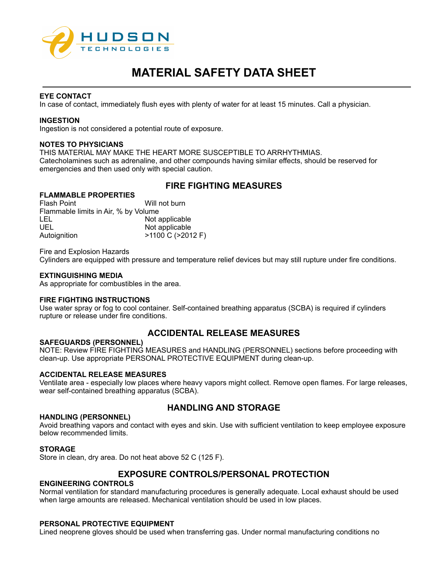

#### **EYE CONTACT**

In case of contact, immediately flush eyes with plenty of water for at least 15 minutes. Call a physician.

#### **INGESTION**

Ingestion is not considered a potential route of exposure.

#### **NOTES TO PHYSICIANS**

THIS MATERIAL MAY MAKE THE HEART MORE SUSCEPTIBLE TO ARRHYTHMIAS. Catecholamines such as adrenaline, and other compounds having similar effects, should be reserved for emergencies and then used only with special caution.

# **FIRE FIGHTING MEASURES**

## **FLAMMABLE PROPERTIES**

Flash Point **Will not burn** Flammable limits in Air, % by Volume LEL Not applicable UEL Not applicable Autoignition  $>1100 \text{ C}$  (>2012 F)

Fire and Explosion Hazards

Cylinders are equipped with pressure and temperature relief devices but may still rupture under fire conditions.

## **EXTINGUISHING MEDIA**

As appropriate for combustibles in the area.

## **FIRE FIGHTING INSTRUCTIONS**

Use water spray or fog to cool container. Self-contained breathing apparatus (SCBA) is required if cylinders rupture or release under fire conditions.

# **ACCIDENTAL RELEASE MEASURES**

## **SAFEGUARDS (PERSONNEL)**

NOTE: Review FIRE FIGHTING MEASURES and HANDLING (PERSONNEL) sections before proceeding with clean-up. Use appropriate PERSONAL PROTECTIVE EQUIPMENT during clean-up.

#### **ACCIDENTAL RELEASE MEASURES**

Ventilate area - especially low places where heavy vapors might collect. Remove open flames. For large releases, wear self-contained breathing apparatus (SCBA).

# **HANDLING AND STORAGE**

## **HANDLING (PERSONNEL)**

Avoid breathing vapors and contact with eyes and skin. Use with sufficient ventilation to keep employee exposure below recommended limits.

## **STORAGE**

Store in clean, dry area. Do not heat above 52 C (125 F).

# **EXPOSURE CONTROLS/PERSONAL PROTECTION**

## **ENGINEERING CONTROLS**

Normal ventilation for standard manufacturing procedures is generally adequate. Local exhaust should be used when large amounts are released. Mechanical ventilation should be used in low places.

#### **PERSONAL PROTECTIVE EQUIPMENT**

Lined neoprene gloves should be used when transferring gas. Under normal manufacturing conditions no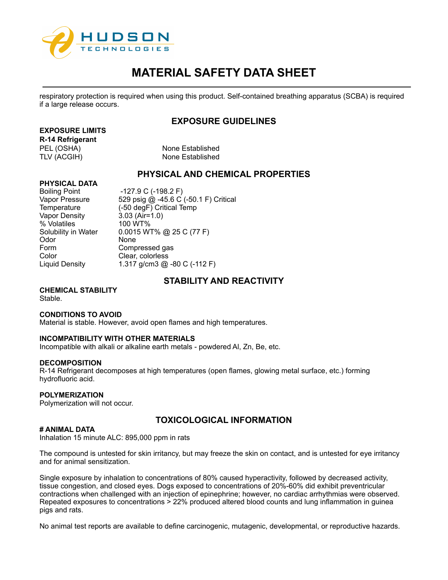

respiratory protection is required when using this product. Self-contained breathing apparatus (SCBA) is required if a large release occurs.

# **EXPOSURE GUIDELINES**

# **EXPOSURE LIMITS**

**R-14 Refrigerant**

PEL (OSHA) None Established TLV (ACGIH) None Established

# **PHYSICAL AND CHEMICAL PROPERTIES**

## **PHYSICAL DATA**

Vapor Density % Volatiles 100 WT% Odor None Form Compressed gas Color Clear, colorless<br>
Liguid Density 1.317 g/cm3 @

Boiling Point -127.9 C (-198.2 F) Vapor Pressure 529 psig @ -45.6 C (-50.1 F) Critical Temperature (-50 degF) Critical Temp<br>
Vapor Density 3.03 (Air=1.0) Solubility in Water 0.0015 WT% @ 25 C (77 F) 1.317 g/cm3  $@$  -80 C (-112 F)

# **STABILITY AND REACTIVITY**

## **CHEMICAL STABILITY** Stable.

## **CONDITIONS TO AVOID**

Material is stable. However, avoid open flames and high temperatures.

## **INCOMPATIBILITY WITH OTHER MATERIALS**

Incompatible with alkali or alkaline earth metals - powdered Al, Zn, Be, etc.

## **DECOMPOSITION**

R-14 Refrigerant decomposes at high temperatures (open flames, glowing metal surface, etc.) forming hydrofluoric acid.

## **POLYMERIZATION**

Polymerization will not occur.

## **# ANIMAL DATA**

# **TOXICOLOGICAL INFORMATION**

Inhalation 15 minute ALC: 895,000 ppm in rats

The compound is untested for skin irritancy, but may freeze the skin on contact, and is untested for eye irritancy and for animal sensitization.

Single exposure by inhalation to concentrations of 80% caused hyperactivity, followed by decreased activity, tissue congestion, and closed eyes. Dogs exposed to concentrations of 20%-60% did exhibit preventricular contractions when challenged with an injection of epinephrine; however, no cardiac arrhythmias were observed. Repeated exposures to concentrations > 22% produced altered blood counts and lung inflammation in guinea pigs and rats.

No animal test reports are available to define carcinogenic, mutagenic, developmental, or reproductive hazards.